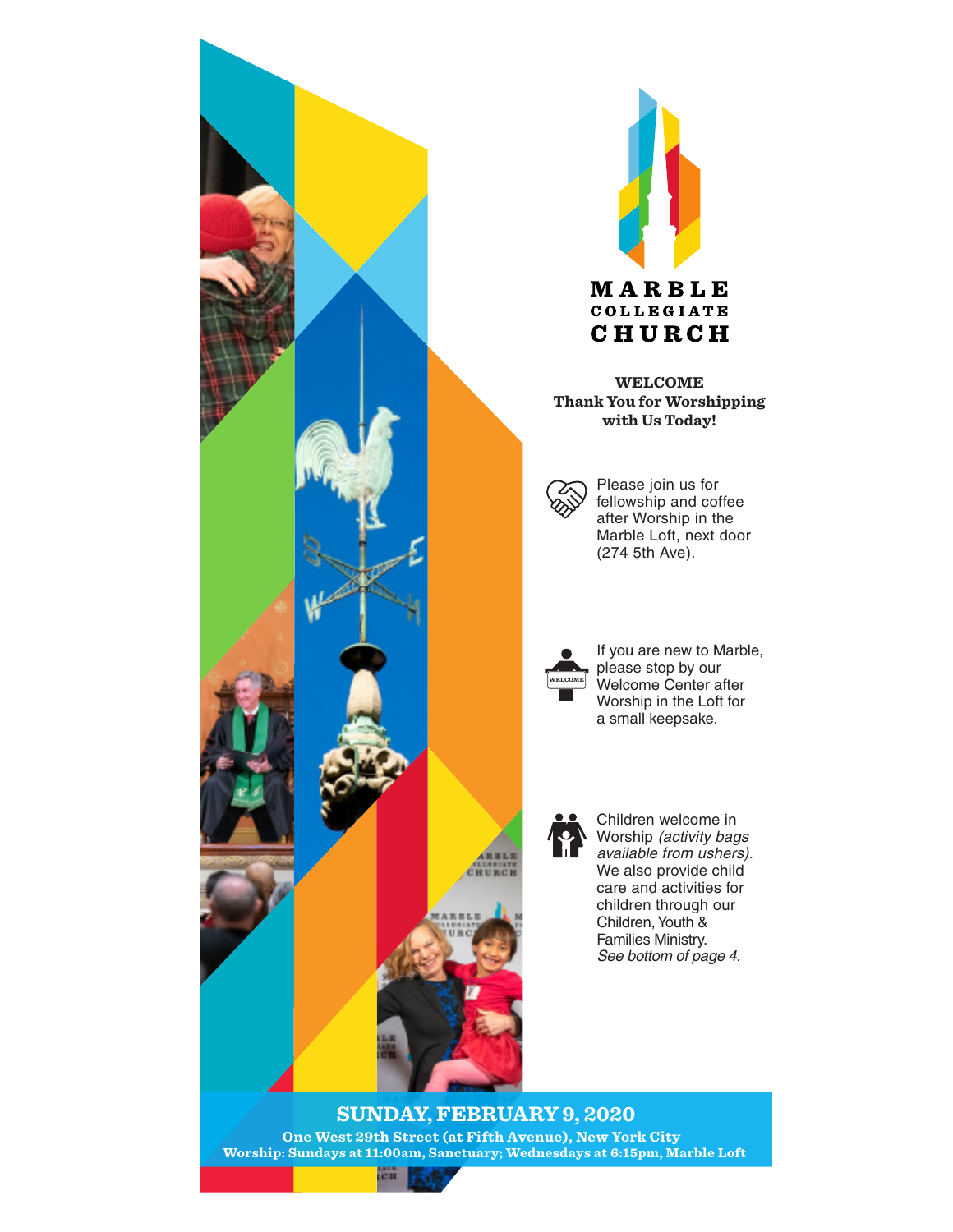



**WELCOME Thank You for Worshipping with Us Today!**



Please join us for fellowship and coffee after Worship in the Marble Loft, next door (274 5th Ave).



If you are new to Marble, please stop by our Welcome Center after Worship in the Loft for a small keepsake.



Children welcome in Worship *(activity bags available from ushers)*. We also provide child care and activities for children through our Children, Youth & Families Ministry. *See bottom of page 4.*

# **SUNDAY, FEBRUARY 9, 2020**

**One West 29th Street (at Fifth Avenue), New York City Worship: Sundays at 11:00am, Sanctuary; Wednesdays at 6:15pm, Marble Loft**

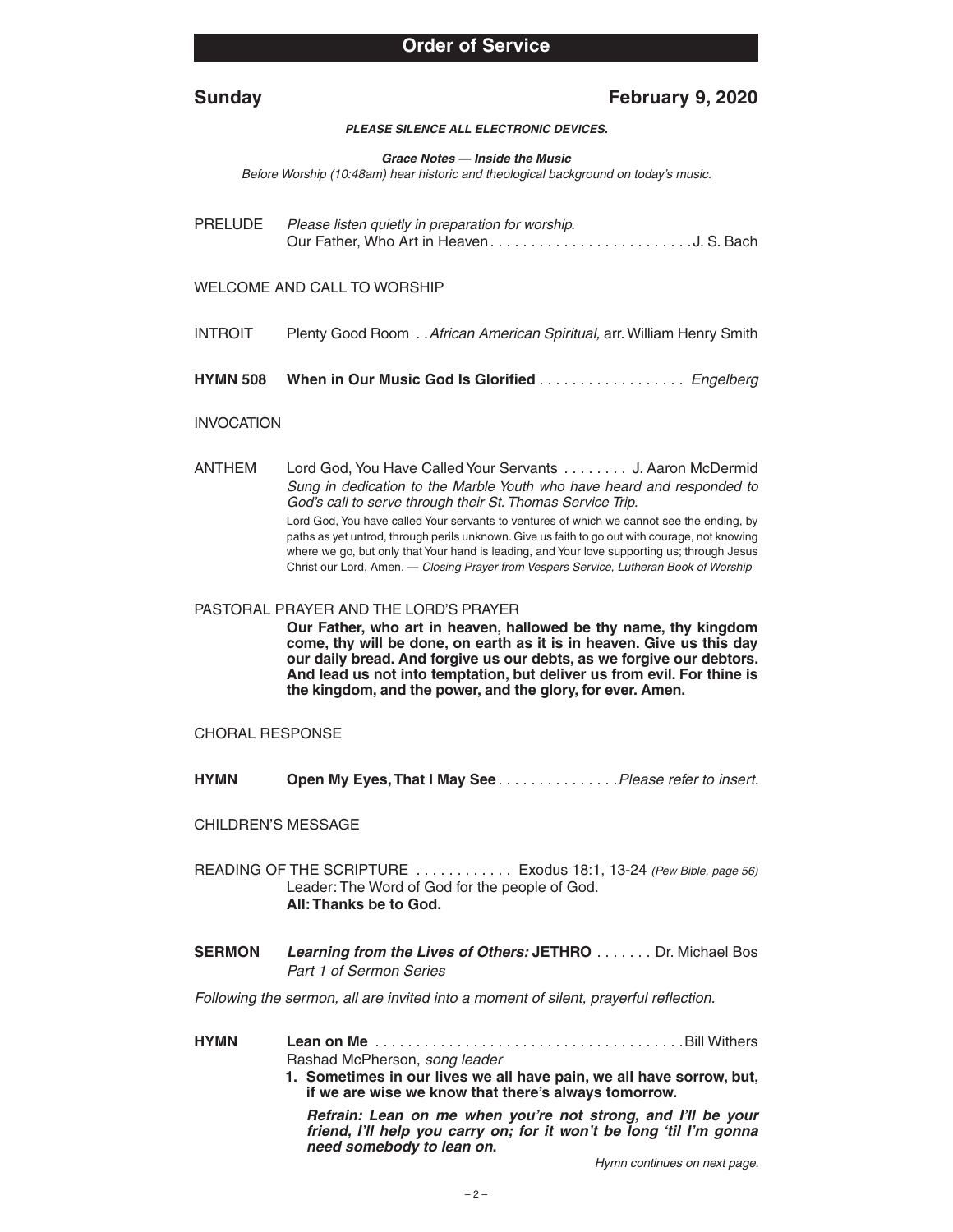# **Order of Service**

# **Sunday February 9, 2020**

#### *PLEASE SILENCE ALL ELECTRONIC DEVICES.*

#### *Grace Notes — Inside the Music*

*Before Worship (10:48am) hear historic and theological background on today's music.*

PRELUDE *Please listen quietly in preparation for worship.* Our Father, Who Art in Heaven. . J. S. Bach

#### WELCOME AND CALL TO WORSHIP

- INTROIT Plenty Good Room. . *African American Spiritual,* arr. William Henry Smith
- **HYMN 508 When in Our Music God Is Glorified** . . . . . . . . . . . . . . . . . . *Engelberg*

#### INVOCATION

ANTHEM Lord God, You Have Called Your Servants . . . . . . . . J. Aaron McDermid *Sung in dedication to the Marble Youth who have heard and responded to God's call to serve through their St. Thomas Service Trip.* Lord God, You have called Your servants to ventures of which we cannot see the ending, by paths as yet untrod, through perils unknown. Give us faith to go out with courage, not knowing where we go, but only that Your hand is leading, and Your love supporting us; through Jesus Christ our Lord, Amen. — *Closing Prayer from Vespers Service, Lutheran Book of Worship*

#### PASTORAL PRAYER AND THE LORD'S PRAYER

**Our Father, who art in heaven, hallowed be thy name, thy kingdom come, thy will be done, on earth as it is in heaven. Give us this day our daily bread. And forgive us our debts, as we forgive our debtors. And lead us not into temptation, but deliver us from evil. For thine is the kingdom, and the power, and the glory, for ever. Amen.**

#### CHORAL RESPONSE

**HYMN Open My Eyes, That I May See** . . . . . . . . . . . . . . .*Please refer to insert.*

#### CHILDREN'S MESSAGE

- READING OF THE SCRIPTURE . . . . . . . . . . . . Exodus 18:1, 13-24 *(Pew Bible, page 56)* Leader: The Word of God for the people of God. **All: Thanks be to God.**
- **SERMON** *Learning from the Lives of Others:* **JETHRO** . . . . . . . Dr. Michael Bos *Part 1 of Sermon Series*

*Following the sermon, all are invited into a moment of silent, prayerful reflection.* 

**HYMN Lean on Me**. Bill Withers Rashad McPherson, *song leader*

> **1. Sometimes in our lives we all have pain, we all have sorrow, but, if we are wise we know that there's always tomorrow.**

*Refrain: Lean on me when you're not strong, and I'll be your friend, I'll help you carry on; for it won't be long 'til I'm gonna need somebody to lean on***.**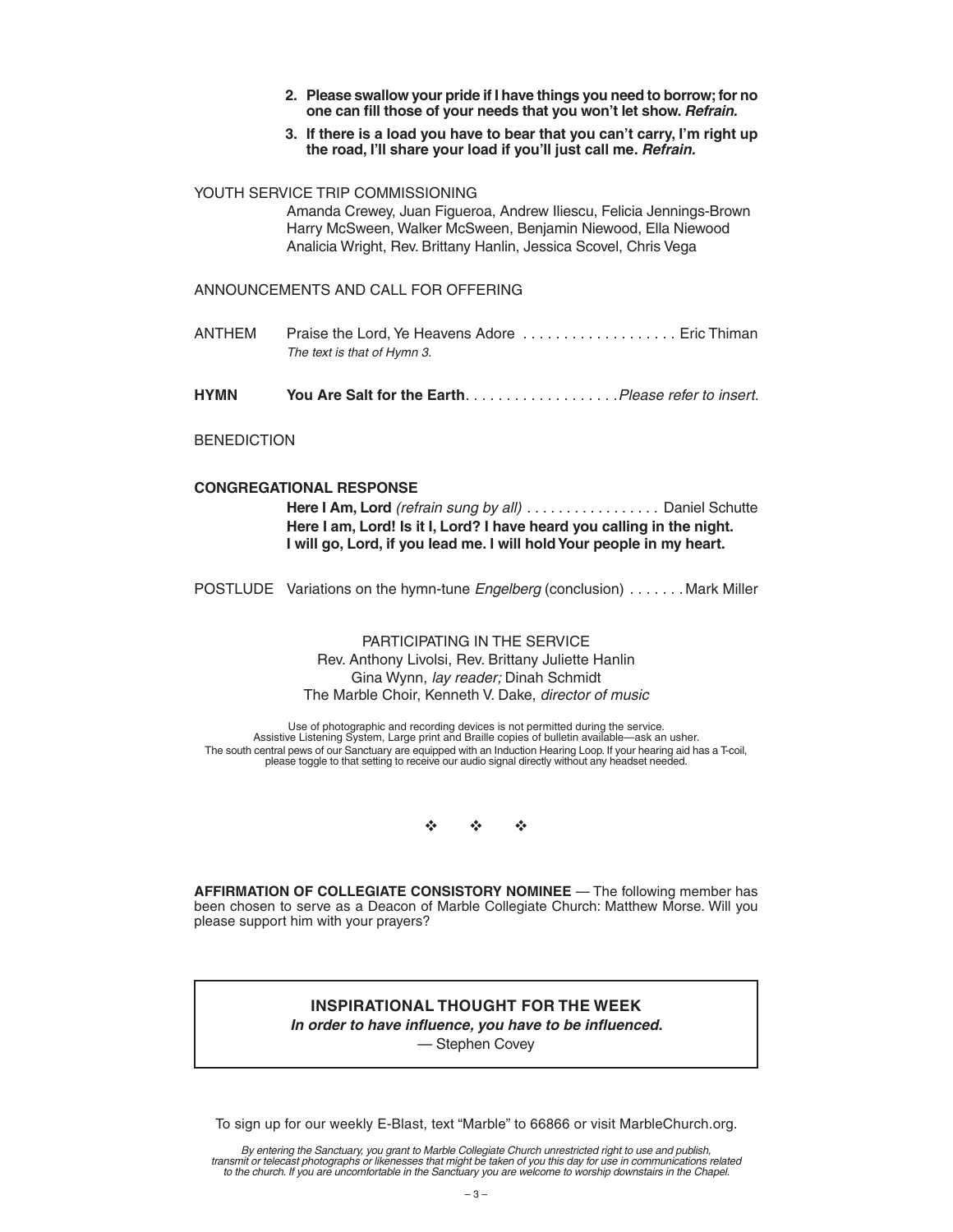- **2. Please swallow your pride if I have things you need to borrow; for no one can fill those of your needs that you won't let show.** *Refrain.*
- **3. If there is a load you have to bear that you can't carry, I'm right up the road, I'll share your load if you'll just call me.** *Refrain.*

#### YOUTH SERVICE TRIP COMMISSIONING

Amanda Crewey, Juan Figueroa, Andrew Iliescu, Felicia Jennings-Brown Harry McSween, Walker McSween, Benjamin Niewood, Ella Niewood Analicia Wright, Rev. Brittany Hanlin, Jessica Scovel, Chris Vega

ANNOUNCEMENTS AND CALL FOR OFFERING

- ANTHEM Praise the Lord, Ye Heavens Adore . . . . . . . . . . . . . . . . . . . Eric Thiman *The text is that of Hymn 3.*
- **HYMN You Are Salt for the Earth** . . . . . . . . . . . . . . . . . . .*Please refer to insert.*

#### **BENEDICTION**

#### **CONGREGATIONAL RESPONSE**

**Here I Am, Lord** *(refrain sung by all)* . . . . . . . . . . . . . . . . . Daniel Schutte **Here I am, Lord! Is it I, Lord? I have heard you calling in the night. I will go, Lord, if you lead me. I will hold Your people in my heart.**

POSTLUDE Variations on the hymn-tune *Engelberg* (conclusion) . . . . . . . Mark Miller

# PARTICIPATING IN THE SERVICE

Rev. Anthony Livolsi, Rev. Brittany Juliette Hanlin Gina Wynn, *lay reader;* Dinah Schmidt The Marble Choir, Kenneth V. Dake, *director of music*

Use of photographic and recording devices is not permitted during the service. Assistive Listening System, Large print and Braille copies of bulletin available—ask an usher. The south central pews of our Sanctuary are equipped with an Induction Hearing Loop. If your hearing aid has a T-coil, please toggle to that setting to receive our audio signal directly without any headset needed.

v v v

**AFFIRMATION OF COLLEGIATE CONSISTORY NOMINEE** — The following member has been chosen to serve as a Deacon of Marble Collegiate Church: Matthew Morse. Will you please support him with your prayers?

# **INSPIRATIONAL THOUGHT FOR THE WEEK**

*In order to have influence, you have to be influenced.*

— Stephen Covey

To sign up for our weekly E-Blast, text "Marble" to 66866 or visit MarbleChurch.org.

*By entering the Sanctuary, you grant to Marble Collegiate Church unrestricted right to use and publish, transmit or telecast photographs or likenesses that might be taken of you this day for use in communications related to the church. If you are uncomfortable in the Sanctuary you are welcome to worship downstairs in the Chapel.*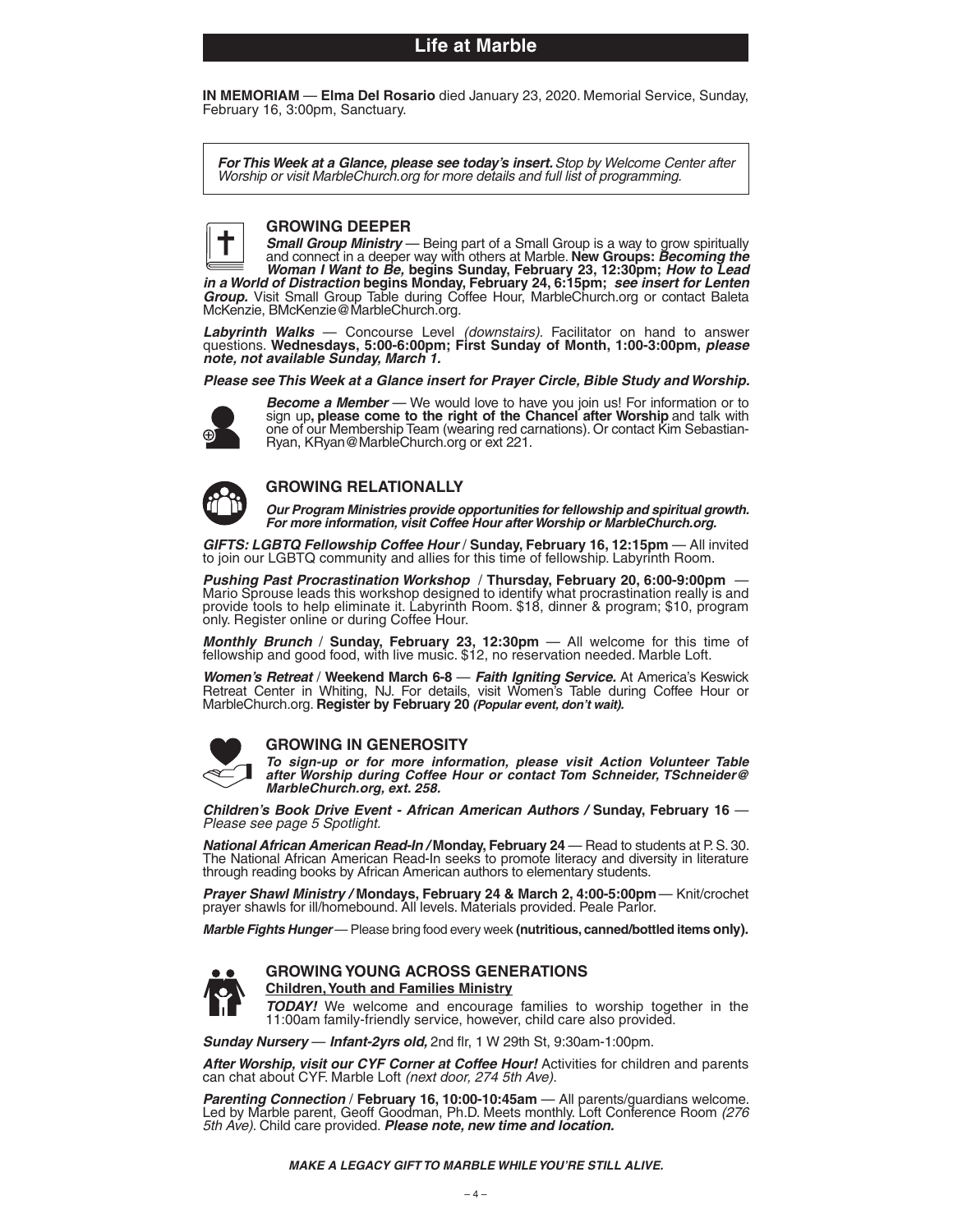# **Life at Marble**

**IN MEMORIAM** — **Elma Del Rosario** died January 23, 2020. Memorial Service, Sunday, February 16, 3:00pm, Sanctuary.

**For This Week at a Glance, please see today's insert.** Stop by Welcome Center after<br>Worship or visit MarbleChurch.org for more details and full list of programming.



#### **GROWING DEEPER**

*Small Group Ministry* — Being part of a Small Group is a way to grow spiritually and connect in a deeper way with others at Marble. **New Groups:** *Becoming the Woman I Want to Be,* **begins Sunday, February 23, 12:30pm;** *How to Lead in a World of Distraction* **begins Monday, February 24, 6:15pm;** *see insert for Lenten Group.* Visit Small Group Table during Coffee Hour, MarbleChurch.org or contact Baleta<br>McKenzie, BMcKenzie@MarbleChurch.org.

*Labyrinth Walks* — Concourse Level *(downstairs)*. Facilitator on hand to answer questions. **Wednesdays, 5:00-6:00pm; First Sunday of Month, 1:00-3:00pm,** *please note, not available Sunday, March 1.*

*Please see This Week at a Glance insert for Prayer Circle, Bible Study and Worship.*



**Become a Member** — We would love to have you join us! For information or to sign up**, please come to the right of the Chancel after Worship** and talk with one of our Membership Team (wearing red carnations). Or contact Kim Sebastian-Ryan, KRyan@MarbleChurch.org or ext 221.



# **GROWING RELATIONALLY**

*Our Program Ministries provide opportunities for fellowship and spiritual growth. For more information, visit Coffee Hour after Worship or MarbleChurch.org.*

*GIFTS: LGBTQ Fellowship Coffee Hour* / **Sunday, February 16, 12:15pm** — All invited to join our LGBTQ community and allies for this time of fellowship. Labyrinth Room.

*Pushing Past Procrastination Workshop /* Thursday, February 20, 6:00-9:00pm —<br>Mario Sprouse leads this workshop designed to identify what procrastination really is and provide tools to help eliminate it. Labyrinth Room. \$18, dinner & program; \$10, program only. Register online or during Coffee Hour.

*Monthly Brunch* / **Sunday, February 23, 12:30pm** — All welcome for this time of fellowship and good food, with live music. \$12, no reservation needed. Marble Loft.

*Women's Retreat* / **Weekend March 6-8** — *Faith Igniting Service.* At America's Keswick Retreat Center in Whiting, NJ. For details, visit Women's Table during Coffee Hour or MarbleChurch.org. **Register by February 20** *(Popular event, don't wait).*



### **GROWING IN GENEROSITY**

*To sign-up or for more information, please visit Action Volunteer Table after Worship during Coffee Hour or contact Tom Schneider, TSchneider@ MarbleChurch.org, ext. 258.*

*Children's Book Drive Event - African American Authors /* **Sunday, February 16** — *Please see page 5 Spotlight.* 

*National African American Read-In /* **Monday, February 24** — Read to students at P. S. 30. The National African American Read-In seeks to promote literacy and diversity in literature through reading books by African American authors to elementary students.

*Prayer Shawl Ministry /* **Mondays, February 24 & March 2, 4:00-5:00pm**— Knit/crochet prayer shawls for ill/homebound. All levels. Materials provided. Peale Parlor.

*Marble Fights Hunger* — Please bring food every week **(nutritious, canned/bottled items only).**



#### **GROWING YOUNG ACROSS GENERATIONS**

**Children, Youth and Families Ministry**

*TODAY!* We welcome and encourage families to worship together in the 11:00am family-friendly service, however, child care also provided.

*Sunday Nursery* — *Infant-2yrs old,* 2nd flr, 1 W 29th St, 9:30am-1:00pm.

*After Worship, visit our CYF Corner at Coffee Hour!* Activities for children and parents can chat about CYF. Marble Loft *(next door, 274 5th Ave)*.

*Parenting Connection* / **February 16, 10:00-10:45am** — All parents/guardians welcome. Led by Marble parent, Geoff Goodman, Ph.D. Meets monthly. Loft Conference Room *(276 5th Ave)*. Child care provided. *Please note, new time and location.*

*MAKE A LEGACY GIFT TO MARBLE WHILE YOU'RE STILL ALIVE.*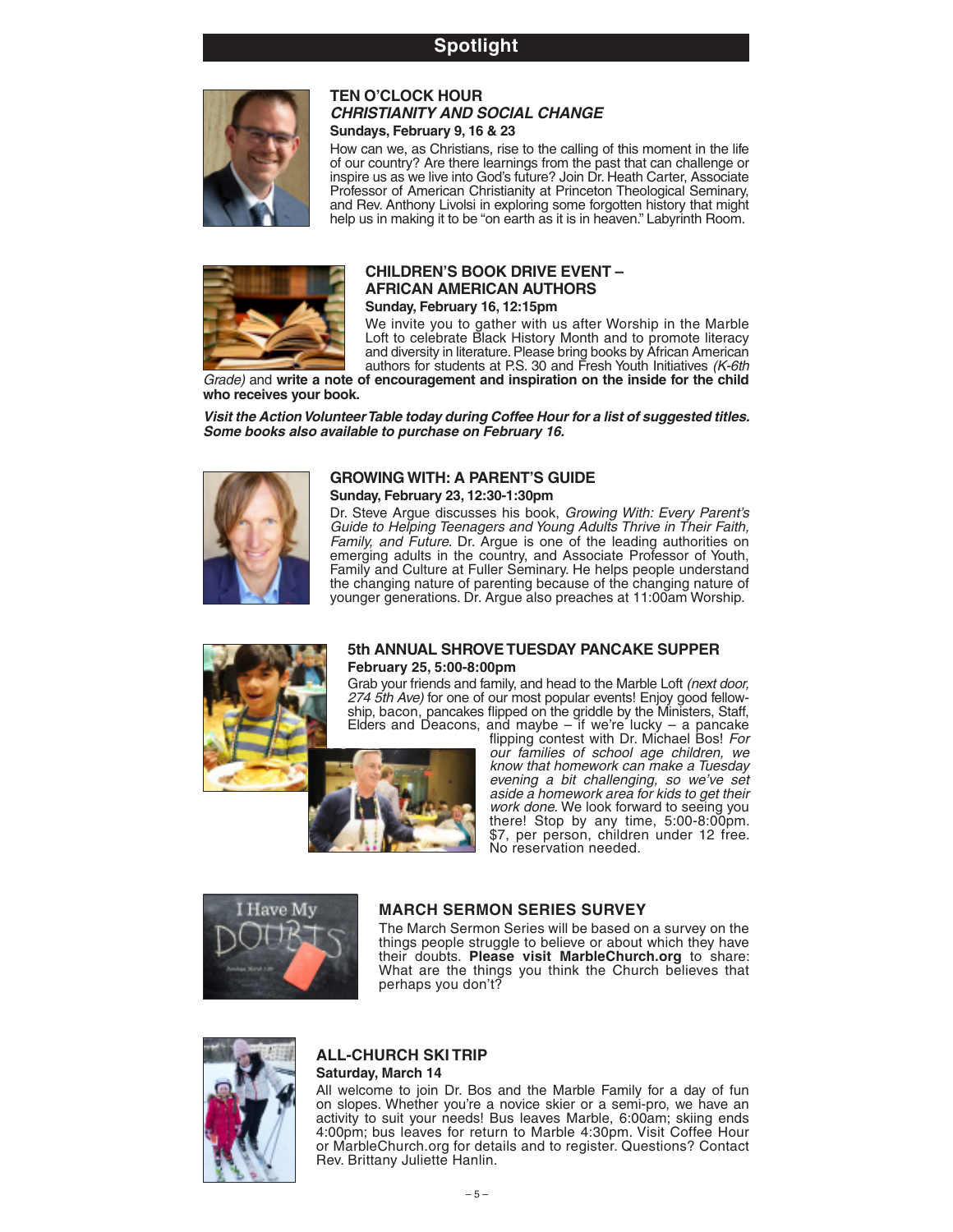

### **TEN O'CLOCK HOUR**  *CHRISTIANITY AND SOCIAL CHANGE*  **Sundays, February 9, 16 & 23**

How can we, as Christians, rise to the calling of this moment in the life of our country? Are there learnings from the past that can challenge or inspire us as we live into God's future? Join Dr. Heath Carter, Associate Professor of American Christianity at Princeton Theological Seminary, and Rev. Anthony Livolsi in exploring some forgotten history that might help us in making it to be "on earth as it is in heaven." Labyrinth Room.



## **CHILDREN'S BOOK DRIVE EVENT – AFRICAN AMERICAN AUTHORS Sunday, February 16, 12:15pm**

We invite you to gather with us after Worship in the Marble Loft to celebrate Black History Month and to promote literacy and diversity in literature. Please bring books by African American authors for students at P.S. 30 and Fresh Youth Initiatives *(K-6th* 

*Grade)* and **write a note of encouragement and inspiration on the inside for the child who receives your book.**

*Visit the Action Volunteer Table today during Coffee Hour for a list of suggested titles. Some books also available to purchase on February 16.*



## **GROWING WITH: A PARENT'S GUIDE Sunday, February 23, 12:30-1:30pm**

Dr. Steve Argue discusses his book, *Growing With: Every Parent's Guide to Helping Teenagers and Young Adults Thrive in Their Faith, Family, and Future*. Dr. Argue is one of the leading authorities on emerging adults in the country, and Associate Professor of Youth, Family and Culture at Fuller Seminary. He helps people understand the changing nature of parenting because of the changing nature of younger generations. Dr. Argue also preaches at 11:00am Worship.



# **5th ANNUAL SHROVE TUESDAY PANCAKE SUPPER February 25, 5:00-8:00pm**

Grab your friends and family, and head to the Marble Loft *(next door,*  ship, bacon, pancakes flipped on the griddle by the Ministers, Staff, Elders and Deacons, and maybe  $-$  if we're lucky  $-$  a pancake



flipping contest with Dr. Michael Bos! *For our families of school age children, we know that homework can make a Tuesday evening a bit challenging, so we've set aside a homework area for kids to get their work done.* We look forward to seeing you there! Stop by any time, 5:00-8:00pm. \$7, per person, children under 12 free. No reservation needed.



# **MARCH SERMON SERIES SURVEY**

The March Sermon Series will be based on a survey on the things people struggle to believe or about which they have their doubts. **Please visit MarbleChurch.org** to share: What are the things you think the Church believes that perhaps you don't?



# **ALL-CHURCH SKI TRIP Saturday, March 14**

All welcome to join Dr. Bos and the Marble Family for a day of fun on slopes. Whether you're a novice skier or a semi-pro, we have an activity to suit your needs! Bus leaves Marble, 6:00am; skiing ends 4:00pm; bus leaves for return to Marble 4:30pm. Visit Coffee Hour or MarbleChurch.org for details and to register. Questions? Contact Rev. Brittany Juliette Hanlin.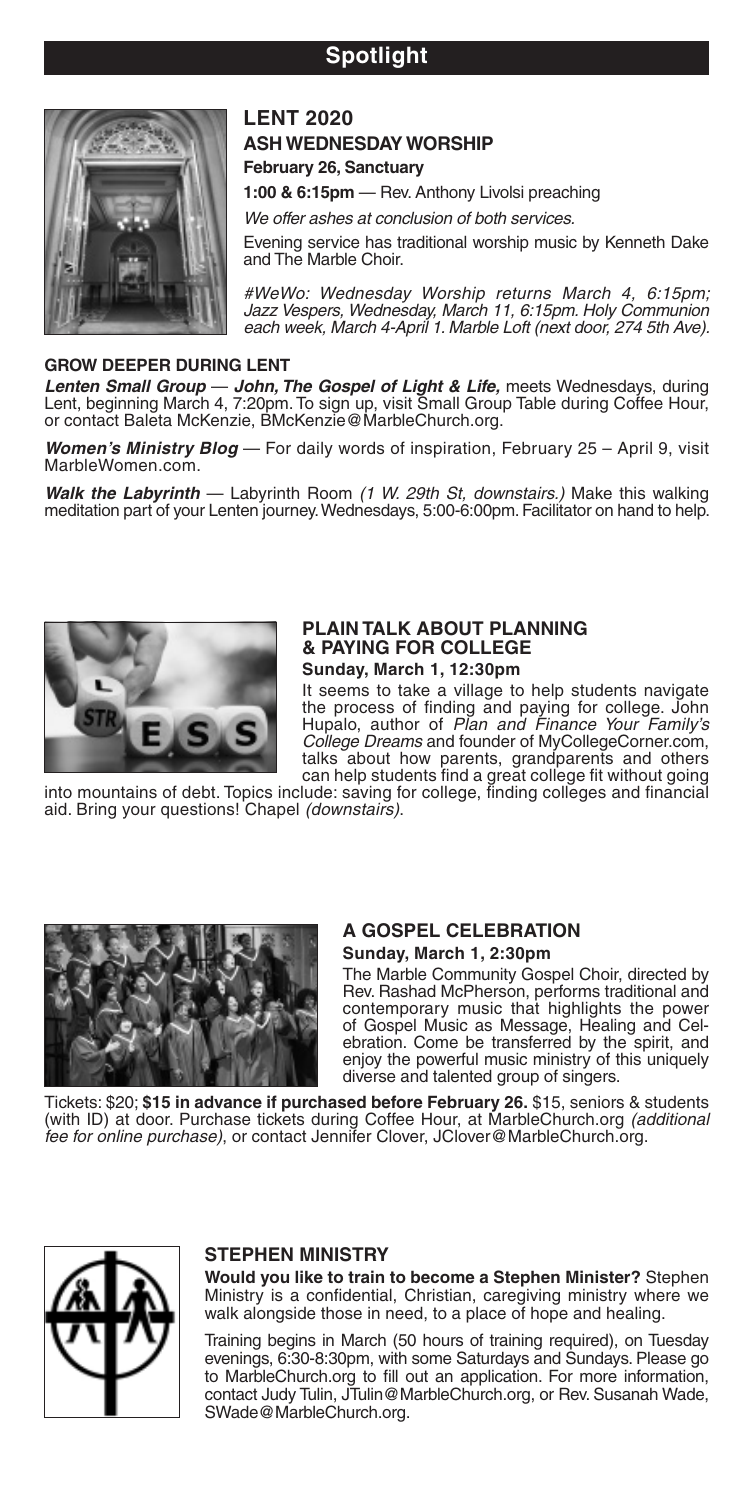# **Spotlight**



# **LENT 2020 ASH WEDNESDAY WORSHIP**

### **February 26, Sanctuary**

**1:00 & 6:15pm** — Rev. Anthony Livolsi preaching

*We offer ashes at conclusion of both services.*

Evening service has traditional worship music by Kenneth Dake and The Marble Choir.

*#WeWo: Wednesday Worship returns March 4, 6:15pm; Jazz Vespers, Wednesday, March 11, 6:15pm. Holy Communion each week, March 4-April 1. Marble Loft (next door, 274 5th Ave).* 

#### **GROW DEEPER DURING LENT**

*Lenten Small Group* — *John, The Gospel of Light & Life,* meets Wednesdays, during Lent, beginning March 4, 7:20pm. To sign up, visit Small Group Table during Coffee Hour, or contact Baleta McKenzie, BMcKenzie@MarbleChurch.org.

*Women's Ministry Blog* — For daily words of inspiration, February 25 – April 9, visit MarbleWomen.com.

*Walk the Labyrinth* — Labyrinth Room *(1 W. 29th St, downstairs.)* Make this walking meditation part of your Lenten journey. Wednesdays, 5:00-6:00pm. Facilitator on hand to help.



### **PLAIN TALK ABOUT PLANNING & PAYING FOR COLLEGE Sunday, March 1, 12:30pm**

It seems to take a village to help students navigate the process of finding and paying for college. John Hupalo, author of *Plan and Finance Your Family's College Dreams* and founder of MyCollegeCorner.com, talks about how parents, grandparents and others can help students find a great college fit without going

into mountains of debt. Topics include: saving for college, finding colleges and financial aid. Bring your questions! Chapel *(downstairs)*.



# **A GOSPEL CELEBRATION**

#### **Sunday, March 1, 2:30pm**

The Marble Community Gospel Choir, directed by Rev. Rashad McPherson, performs traditional and contemporary music that highlights the power of Gospel Music as Message, Healing and Celebration. Come be transferred by the spirit, and enjoy the powerful music ministry of this uniquely diverse and talented group of singers.

Tickets: \$20; **\$15 in advance if purchased before February 26.** \$15, seniors & students (with ID) at door. Purchase tickets during Coffee Hour, at MarbleChurch.org *(additional fee for online purchase)*, or contact Jennifer Clover, JClover@MarbleChurch.org.



### **STEPHEN MINISTRY**

**Would you like to train to become a Stephen Minister?** Stephen Ministry is a confidential, Christian, caregiving ministry where we walk alongside those in need, to a place of hope and healing.

Training begins in March (50 hours of training required), on Tuesday evenings, 6:30-8:30pm, with some Saturdays and Sundays. Please go to MarbleChurch.org to fill out an application. For more information, contact Judy Tulin, JTulin@MarbleChurch.org, or Rev. Susanah Wade, SWade@MarbleChurch.org.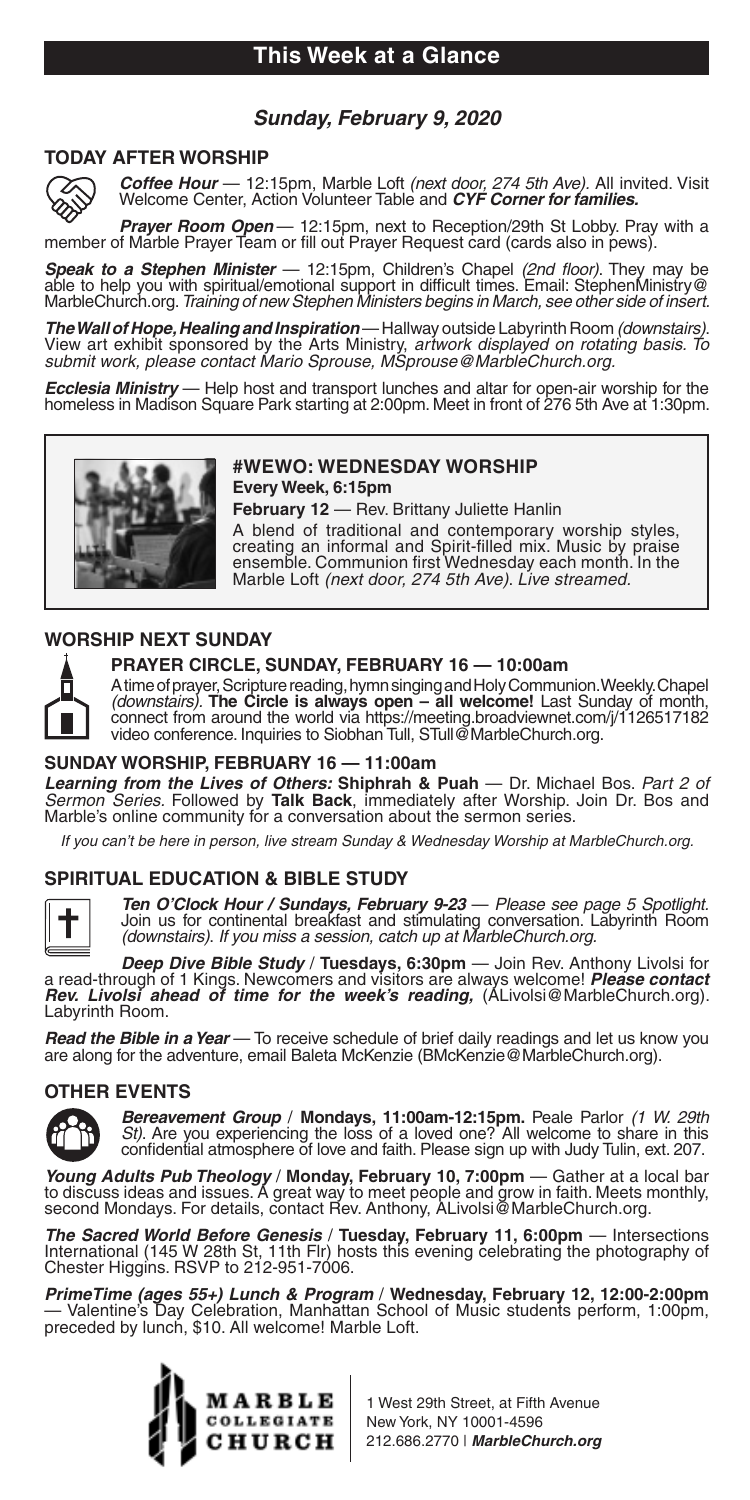# **This Week at a Glance**

# *Sunday, February 9, 2020*

## **TODAY AFTER WORSHIP**



*Coffee Hour* — 12:15pm, Marble Loft *(next door, 274 5th Ave).* All invited. Visit Welcome Center, Action Volunteer Table and *CYF Corner for families.*

*Prayer Room Open* — 12:15pm, next to Reception/29th St Lobby. Pray with a member of Marble Prayer Team or fill out Prayer Request card (cards also in pews).

**Speak to a Stephen Minister** — 12:15pm, Children's Chapel *(2nd floor)*. They may be able to help you with spiritual/emotional support in difficult times. Email: StephenMinistry@ MarbleChurch.org. *Training of new Stephen Ministers begins in March, see other side of insert.*

The Wall of Hope, Healing and Inspiration—Hallway outside Labyrinth Room (downstairs).<br>View art exhibit sponsored by the Arts Ministry, artwork displayed on rotating basis. To<br>submit work, please contact Mario Sprouse, MSp

*Ecclesia Ministry* — Help host and transport lunches and altar for open-air worship for the homeless in Madison Square Park starting at 2:00pm. Meet in front of 276 5th Ave at 1:30pm.



# **#WEWO: WEDNESDAY WORSHIP**

**Every Week, 6:15pm**

**February 12** — Rev. Brittany Juliette Hanlin

A blend of traditional and contemporary worship styles, creating an informal and Spirit-filled mix. Music by praise ensemble. Communion first Wednesday each month. In the Marble Loft *(next door, 274 5th Ave)*. *Live streamed.* 

# **WORSHIP NEXT SUNDAY**



### **PRAYER CIRCLE, SUNDAY, FEBRUARY 16 — 10:00am**

A time of prayer, Scripture reading, hymn singing and Holy Communion. Weekly. Chapel (downstairs). The Circle is always open - all welcome! Last Sunday of month, *(downstairs).* **The Circle is always open – all welcome!** Last Sunday of month, connect from around the world via https://meeting.broadviewnet.com/j/1126517182 video conference. Inquiries to Siobhan Tull, STull@MarbleChurch.org.

### **SUNDAY WORSHIP, FEBRUARY 16 — 11:00am**

*Learning from the Lives of Others:* **Shiphrah & Puah** — Dr. Michael Bos. *Part 2 of Sermon Series.* Followed by **Talk Back**, immediately after Worship. Join Dr. Bos and Marble's online community for a conversation about the sermon series.

*If you can't be here in person, live stream Sunday & Wednesday Worship at MarbleChurch.org.*

# **SPIRITUAL EDUCATION & BIBLE STUDY**



*Ten O'Clock Hour / Sundays, February 9-23* — *Please see page 5 Spotlight.* Join us for continental breakfast and stimulating conversation. Labyrinth Room *(downstairs)*. *If you miss a session, catch up at MarbleChurch.org.*

*Deep Dive Bible Study* / **Tuesdays, 6:30pm** — Join Rev. Anthony Livolsi for a read-through of 1 Kings. Newcomers and visitors are always welcome! *Please contact Rev. Livolsi ahead of time for the week's reading,* (ALivolsi@MarbleChurch.org). Labyrinth Room.

*Read the Bible in a Year* — To receive schedule of brief daily readings and let us know you are along for the adventure, email Baleta McKenzie (BMcKenzie@MarbleChurch.org).

### **OTHER EVENTS**



*Bereavement Group* / **Mondays, 11:00am-12:15pm.** Peale Parlor *(1 W. 29th St)*. Are you experiencing the loss of a loved one? All welcome to share in this confidential atmosphere of love and faith. Please sign up with Judy Tulin, ext. 207.

*Young Adults Pub Theology* / **Monday, February 10, 7:00pm** — Gather at a local bar to discuss ideas and issues. A great way to meet people and grow in faith. Meets monthly, second Mondays. For details, contact Rev. Anthony, ALivolsi@MarbleChurch.org.

*The Sacred World Before Genesis* / **Tuesday, February 11, 6:00pm** — Intersections International (145 W 28th St, 11th Flr) hosts this evening celebrating the photography of Chester Higgins. RSVP to 212-951-7006.

*PrimeTime (ages 55+) Lunch & Program* / **Wednesday, February 12, 12:00-2:00pm** — Valentine's Day Celebration, Manhattan School of Music students perform, 1:00pm, preceded by lunch, \$10. All welcome! Marble Loft.



1 West 29th Street, at Fifth Avenue New York, NY 10001-4596 212.686.2770 | *MarbleChurch.org*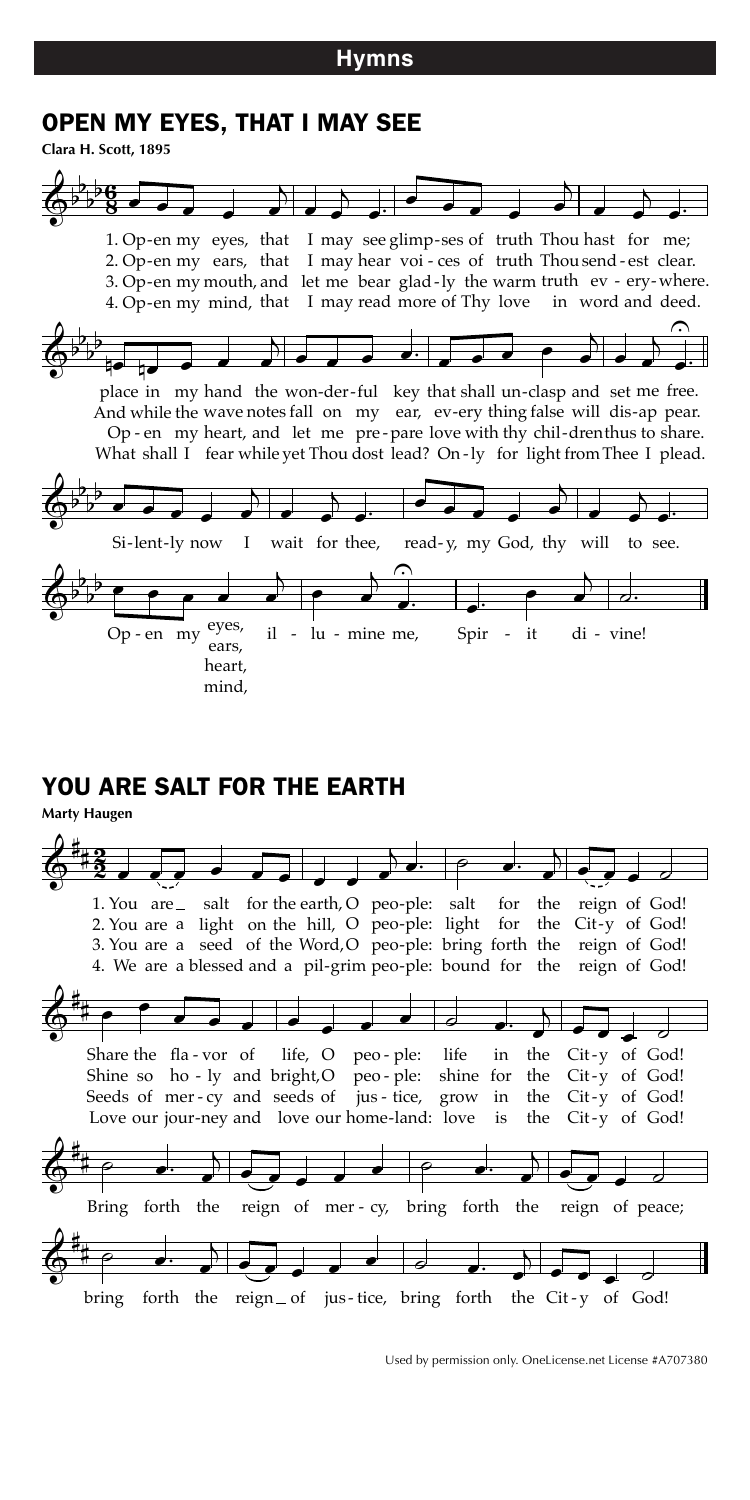# **Hymns**

# OPEN MY EYES, THAT I MAY SEE

**Clara H. Scott, 1895**

| 1. Op-en my eyes, that I may see glimp-ses of truth Thou hast for me;<br>2. Op-en my ears, that I may hear voi-ces of truth Thousend-est clear.<br>3. Op-en my mouth, and let me bear glad-ly the warm truth ev - ery-where.<br>4. Op-en my mind, that I may read more of Thy love in word and deed.                      |                          |            |
|---------------------------------------------------------------------------------------------------------------------------------------------------------------------------------------------------------------------------------------------------------------------------------------------------------------------------|--------------------------|------------|
|                                                                                                                                                                                                                                                                                                                           |                          |            |
| place in my hand the won-der-ful key that shall un-clasp and set me free.<br>And while the wave notes fall on my ear, ev-ery thing false will dis-ap pear.<br>Op-en my heart, and let me pre-pare love with thy chil-drenthus to share.<br>What shall I fear while yet Thou dost lead? On-ly for light from Thee I plead. |                          |            |
| I wait for thee,<br>Si-lent-ly now                                                                                                                                                                                                                                                                                        | read-y, my God, thy will | to see.    |
| eyes,<br>$Op - en$ my<br>- lu - mine me,<br>il<br>ears.<br>heart.<br>mind,                                                                                                                                                                                                                                                | it<br>Spir -             | di - vine! |

# YOU ARE SALT FOR THE EARTH

**Marty Haugen**

| $\blacksquare$ ) . $\blacksquare$<br>$\rho$ —<br>$\overline{\bullet\colon}$                                                                                                                                                                                                                                                                                                                                                                                                     |
|---------------------------------------------------------------------------------------------------------------------------------------------------------------------------------------------------------------------------------------------------------------------------------------------------------------------------------------------------------------------------------------------------------------------------------------------------------------------------------|
|                                                                                                                                                                                                                                                                                                                                                                                                                                                                                 |
| 1. You are _ salt for the earth, O peo-ple: salt for the reign of God!                                                                                                                                                                                                                                                                                                                                                                                                          |
| 2. You are a light on the hill, O peo-ple: light for the Cit-y of God!                                                                                                                                                                                                                                                                                                                                                                                                          |
| 3. You are a seed of the Word, O peo-ple: bring forth the reign of God!                                                                                                                                                                                                                                                                                                                                                                                                         |
| 4. We are a blessed and a pil-grim peo-ple: bound for the reign of God!                                                                                                                                                                                                                                                                                                                                                                                                         |
|                                                                                                                                                                                                                                                                                                                                                                                                                                                                                 |
| $\overrightarrow{a}$ $\overrightarrow{b}$ $\overrightarrow{a}$ $\overrightarrow{b}$ $\overrightarrow{c}$ $\overrightarrow{d}$                                                                                                                                                                                                                                                                                                                                                   |
|                                                                                                                                                                                                                                                                                                                                                                                                                                                                                 |
| Share the fla-vor of life, O peo-ple: life in the<br>City of God!                                                                                                                                                                                                                                                                                                                                                                                                               |
| Shine so ho - ly and bright, O peo-ple: shine for<br>Cit-y of God!<br>the                                                                                                                                                                                                                                                                                                                                                                                                       |
| Seeds of mer-cy and seeds of jus-tice, grow in<br>the Cit-y of God!                                                                                                                                                                                                                                                                                                                                                                                                             |
| Love our jour-ney and love our home-land: love is<br>the Cit-y of God!                                                                                                                                                                                                                                                                                                                                                                                                          |
|                                                                                                                                                                                                                                                                                                                                                                                                                                                                                 |
| $\overline{\bullet}$ $\circ$ $\overline{\bullet}$                                                                                                                                                                                                                                                                                                                                                                                                                               |
|                                                                                                                                                                                                                                                                                                                                                                                                                                                                                 |
| Bring forth the reign of mer-cy, bring forth the<br>reign of peace;                                                                                                                                                                                                                                                                                                                                                                                                             |
|                                                                                                                                                                                                                                                                                                                                                                                                                                                                                 |
|                                                                                                                                                                                                                                                                                                                                                                                                                                                                                 |
| $\overline{\phantom{a}}$ $\overline{\phantom{a}}$ $\overline{\phantom{a}}$ $\overline{\phantom{a}}$ $\overline{\phantom{a}}$ $\overline{\phantom{a}}$ $\overline{\phantom{a}}$ $\overline{\phantom{a}}$ $\overline{\phantom{a}}$ $\overline{\phantom{a}}$ $\overline{\phantom{a}}$ $\overline{\phantom{a}}$ $\overline{\phantom{a}}$ $\overline{\phantom{a}}$ $\overline{\phantom{a}}$ $\overline{\phantom{a}}$ $\overline{\phantom{a}}$ $\overline{\phantom{a}}$ $\overline{\$ |
|                                                                                                                                                                                                                                                                                                                                                                                                                                                                                 |
| bring forth the reign $\_\text{o}$ of jus-tice, bring forth the Cit-y of God!                                                                                                                                                                                                                                                                                                                                                                                                   |

Used by permission only. OneLicense.net License #A707380